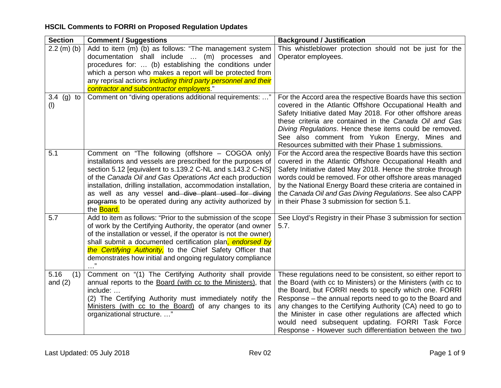| <b>Section</b>           | <b>Comment / Suggestions</b>                                                                                                                                                                                                                                                                                                                                                                                                                               | <b>Background / Justification</b>                                                                                                                                                                                                                                                                                                                                                                                                                                                              |
|--------------------------|------------------------------------------------------------------------------------------------------------------------------------------------------------------------------------------------------------------------------------------------------------------------------------------------------------------------------------------------------------------------------------------------------------------------------------------------------------|------------------------------------------------------------------------------------------------------------------------------------------------------------------------------------------------------------------------------------------------------------------------------------------------------------------------------------------------------------------------------------------------------------------------------------------------------------------------------------------------|
| $2.2$ (m) (b)            | Add to item (m) (b) as follows: "The management system<br>documentation shall include<br>(m) processes and<br>procedures for:  (b) establishing the conditions under<br>which a person who makes a report will be protected from<br>any reprisal actions <i>including third party personnel and their</i><br>contractor and subcontractor employers."                                                                                                      | This whistleblower protection should not be just for the<br>Operator employees.                                                                                                                                                                                                                                                                                                                                                                                                                |
| 3.4 (g) to<br>(1)        | Comment on "diving operations additional requirements: "                                                                                                                                                                                                                                                                                                                                                                                                   | For the Accord area the respective Boards have this section<br>covered in the Atlantic Offshore Occupational Health and<br>Safety Initiative dated May 2018. For other offshore areas<br>these criteria are contained in the Canada Oil and Gas<br>Diving Regulations. Hence these items could be removed.<br>See also comment from Yukon Energy, Mines and<br>Resources submitted with their Phase 1 submissions.                                                                             |
| 5.1                      | Comment on "The following (offshore - COGOA only)<br>installations and vessels are prescribed for the purposes of<br>section 5.12 [equivalent to s.139.2 C-NL and s.143.2 C-NS]<br>of the Canada Oil and Gas Operations Act each production<br>installation, drilling installation, accommodation installation,<br>as well as any vessel and dive plant used for diving<br>programs to be operated during any activity authorized by<br>the <b>Board</b> . | For the Accord area the respective Boards have this section<br>covered in the Atlantic Offshore Occupational Health and<br>Safety Initiative dated May 2018. Hence the stroke through<br>words could be removed. For other offshore areas managed<br>by the National Energy Board these criteria are contained in<br>the Canada Oil and Gas Diving Regulations. See also CAPP<br>in their Phase 3 submission for section 5.1.                                                                  |
| 5.7                      | Add to item as follows: "Prior to the submission of the scope<br>of work by the Certifying Authority, the operator (and owner<br>of the installation or vessel, if the operator is not the owner)<br>shall submit a documented certification plan, endorsed by<br>the Certifying Authority, to the Chief Safety Officer that<br>demonstrates how initial and ongoing regulatory compliance                                                                 | See Lloyd's Registry in their Phase 3 submission for section<br>5.7.                                                                                                                                                                                                                                                                                                                                                                                                                           |
| 5.16<br>(1)<br>and $(2)$ | Comment on "(1) The Certifying Authority shall provide<br>annual reports to the Board (with cc to the Ministers), that<br>include:<br>(2) The Certifying Authority must immediately notify the<br>Ministers (with cc to the Board) of any changes to its<br>organizational structure. "                                                                                                                                                                    | These regulations need to be consistent, so either report to<br>the Board (with cc to Ministers) or the Ministers (with cc to<br>the Board, but FORRI needs to specify which one. FORRI<br>Response – the annual reports need to go to the Board and<br>any changes to the Certifying Authority (CA) need to go to<br>the Minister in case other regulations are affected which<br>would need subsequent updating. FORRI Task Force<br>Response - However such differentiation between the two |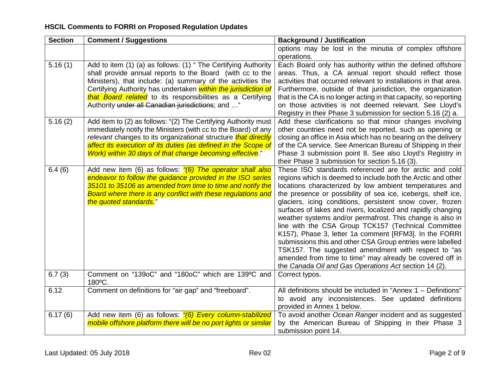| <b>Section</b> | <b>Comment / Suggestions</b>                                          | <b>Background / Justification</b>                                                                                         |
|----------------|-----------------------------------------------------------------------|---------------------------------------------------------------------------------------------------------------------------|
|                |                                                                       | options may be lost in the minutia of complex offshore                                                                    |
|                |                                                                       | operations.                                                                                                               |
| 5.16(1)        | Add to item (1) (a) as follows: (1) " The Certifying Authority        | Each Board only has authority within the defined offshore                                                                 |
|                | shall provide annual reports to the Board (with cc to the             | areas. Thus, a CA annual report should reflect those                                                                      |
|                | Ministers), that include: (a) summary of the activities the           | activities that occurred relevant to installations in that area.                                                          |
|                | Certifying Authority has undertaken within the jurisdiction of        | Furthermore, outside of that jurisdiction, the organization                                                               |
|                | that Board related to its responsibilities as a Certifying            | that is the CA is no longer acting in that capacity, so reporting                                                         |
|                | Authority under all Canadian jurisdictions; and "                     | on those activities is not deemed relevant. See Lloyd's                                                                   |
|                |                                                                       | Registry in their Phase 3 submission for section 5.16 (2) a.                                                              |
| 5.16(2)        | Add item to (2) as follows: "(2) The Certifying Authority must        | Add these clarifications so that minor changes involving                                                                  |
|                | immediately notify the Ministers (with cc to the Board) of any        | other countries need not be reported, such as opening or                                                                  |
|                | relevant changes to its organizational structure <i>that directly</i> | closing an office in Asia which has no bearing on the delivery                                                            |
|                | affect its execution of its duties (as defined in the Scope of        | of the CA service. See American Bureau of Shipping in their                                                               |
|                | Work) within 30 days of that change becoming effective."              | Phase 3 submission point 8. See also Lloyd's Registry in                                                                  |
|                |                                                                       | their Phase 3 submission for section 5.16 (3).                                                                            |
| 6.4(6)         | Add new item (6) as follows: "(6) The operator shall also             | These ISO standards referenced are for arctic and cold                                                                    |
|                | endeavor to follow the quidance provided in the ISO series            | regions which is deemed to include both the Arctic and other                                                              |
|                | 35101 to 35106 as amended from time to time and notify the            | locations characterized by low ambient temperatures and                                                                   |
|                | Board where there is any conflict with these regulations and          | the presence or possibility of sea ice, icebergs, shelf ice,                                                              |
|                | the quoted standards."                                                | glaciers, icing conditions, persistent snow cover, frozen                                                                 |
|                |                                                                       | surfaces of lakes and rivers, localized and rapidly changing<br>weather systems and/or permafrost. This change is also in |
|                |                                                                       | line with the CSA Group TCK157 (Technical Committee                                                                       |
|                |                                                                       | K157), Phase 3, letter 1a comment [RFM3]. In the FORRI                                                                    |
|                |                                                                       | submissions this and other CSA Group entries were labelled                                                                |
|                |                                                                       | TSK157. The suggested amendment with respect to "as                                                                       |
|                |                                                                       | amended from time to time" may already be covered off in                                                                  |
|                |                                                                       | the Canada Oil and Gas Operations Act section 14 (2).                                                                     |
| 6.7(3)         | Comment on "139oC" and "180oC" which are 139°C and                    | Correct typos.                                                                                                            |
|                | 180°C.                                                                |                                                                                                                           |
| 6.12           | Comment on definitions for "air gap" and "freeboard".                 | All definitions should be included in "Annex 1 - Definitions"                                                             |
|                |                                                                       | to avoid any inconsistences. See updated definitions                                                                      |
|                |                                                                       | provided in Annex 1 below.                                                                                                |
| 6.17(6)        | Add new item (6) as follows: "(6) Every column-stabilized             | To avoid another Ocean Ranger incident and as suggested                                                                   |
|                | mobile offshore platform there will be no port lights or similar      | by the American Bureau of Shipping in their Phase 3                                                                       |
|                |                                                                       | submission point 14.                                                                                                      |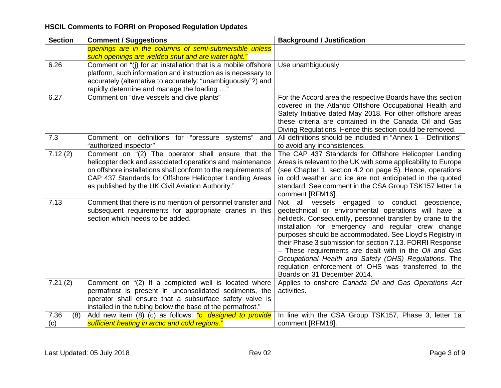| <b>Section</b> | <b>Comment / Suggestions</b>                                   | <b>Background / Justification</b>                                                   |
|----------------|----------------------------------------------------------------|-------------------------------------------------------------------------------------|
|                | openings are in the columns of semi-submersible unless         |                                                                                     |
|                | such openings are welded shut and are water tight."            |                                                                                     |
| 6.26           | Comment on "(i) for an installation that is a mobile offshore  | Use unambiguously.                                                                  |
|                | platform, such information and instruction as is necessary to  |                                                                                     |
|                | accurately (alternative to accurately: "unambiguously"?) and   |                                                                                     |
|                | rapidly determine and manage the loading "                     |                                                                                     |
| 6.27           | Comment on "dive vessels and dive plants"                      | For the Accord area the respective Boards have this section                         |
|                |                                                                | covered in the Atlantic Offshore Occupational Health and                            |
|                |                                                                | Safety Initiative dated May 2018. For other offshore areas                          |
|                |                                                                | these criteria are contained in the Canada Oil and Gas                              |
|                |                                                                | Diving Regulations. Hence this section could be removed.                            |
| 7.3            | Comment on definitions for "pressure systems"<br>and           | All definitions should be included in "Annex 1 - Definitions"                       |
|                | "authorized inspector"                                         | to avoid any inconsistences.                                                        |
| 7.12(2)        | Comment on "(2) The operator shall ensure that the             | The CAP 437 Standards for Offshore Helicopter Landing                               |
|                | helicopter deck and associated operations and maintenance      | Areas is relevant to the UK with some applicability to Europe                       |
|                | on offshore installations shall conform to the requirements of | (see Chapter 1, section 4.2 on page 5). Hence, operations                           |
|                | CAP 437 Standards for Offshore Helicopter Landing Areas        | in cold weather and ice are not anticipated in the quoted                           |
|                | as published by the UK Civil Aviation Authority."              | standard. See comment in the CSA Group TSK157 letter 1a                             |
|                |                                                                | comment [RFM16].                                                                    |
| 7.13           | Comment that there is no mention of personnel transfer and     | Not all vessels<br>engaged to conduct geoscience,                                   |
|                | subsequent requirements for appropriate cranes in this         | geotechnical or environmental operations will have a                                |
|                | section which needs to be added.                               | helideck. Consequently, personnel transfer by crane to the                          |
|                |                                                                | installation for emergency and regular crew change                                  |
|                |                                                                | purposes should be accommodated. See Lloyd's Registry in                            |
|                |                                                                | their Phase 3 submission for section 7.13. FORRI Response                           |
|                |                                                                | - These requirements are dealt with in the Oil and Gas                              |
|                |                                                                | Occupational Health and Safety (OHS) Regulations. The                               |
|                |                                                                | regulation enforcement of OHS was transferred to the<br>Boards on 31 December 2014. |
| 7.21(2)        | Comment on "(2) If a completed well is located where           | Applies to onshore Canada Oil and Gas Operations Act                                |
|                | permafrost is present in unconsolidated sediments, the         | activities.                                                                         |
|                | operator shall ensure that a subsurface safety valve is        |                                                                                     |
|                | installed in the tubing below the base of the permafrost."     |                                                                                     |
| 7.36<br>(8)    | Add new item (8) (c) as follows: "c. designed to provide       | In line with the CSA Group TSK157, Phase 3, letter 1a                               |
| (c)            | sufficient heating in arctic and cold regions."                | comment [RFM18].                                                                    |
|                |                                                                |                                                                                     |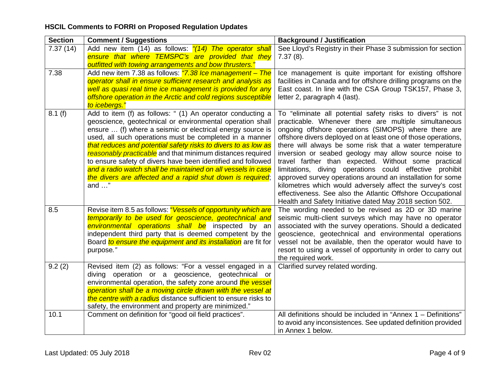| <b>Section</b> | <b>Comment / Suggestions</b>                                                                                                                                                                                                                                                                                                                                                                                                                                                                                                                                                                    | <b>Background / Justification</b>                                                                                                                                                                                                                                                                                                                                                                                                                                                                                                                                                                                                                                                                                                        |
|----------------|-------------------------------------------------------------------------------------------------------------------------------------------------------------------------------------------------------------------------------------------------------------------------------------------------------------------------------------------------------------------------------------------------------------------------------------------------------------------------------------------------------------------------------------------------------------------------------------------------|------------------------------------------------------------------------------------------------------------------------------------------------------------------------------------------------------------------------------------------------------------------------------------------------------------------------------------------------------------------------------------------------------------------------------------------------------------------------------------------------------------------------------------------------------------------------------------------------------------------------------------------------------------------------------------------------------------------------------------------|
| 7.37(14)       | Add new item (14) as follows: "(14) The operator shall<br>ensure that where TEMSPC's are provided that they<br>outfitted with towing arrangements and bow thrusters."                                                                                                                                                                                                                                                                                                                                                                                                                           | See Lloyd's Registry in their Phase 3 submission for section<br>$7.37(8)$ .                                                                                                                                                                                                                                                                                                                                                                                                                                                                                                                                                                                                                                                              |
| 7.38           | Add new item 7.38 as follows: "7.38 Ice management - The<br>operator shall in ensure sufficient research and analysis as<br>well as quasi real time ice management is provided for any<br>offshore operation in the Arctic and cold regions susceptible<br>to icebergs."                                                                                                                                                                                                                                                                                                                        | Ice management is quite important for existing offshore<br>facilities in Canada and for offshore drilling programs on the<br>East coast. In line with the CSA Group TSK157, Phase 3,<br>letter 2, paragraph 4 (last).                                                                                                                                                                                                                                                                                                                                                                                                                                                                                                                    |
| 8.1(f)         | Add to item (f) as follows: " (1) An operator conducting a<br>geoscience, geotechnical or environmental operation shall<br>ensure  (f) where a seismic or electrical energy source is<br>used, all such operations must be completed in a manner<br>that reduces and potential safety risks to divers to as low as<br>reasonably practicable and that minimum distances required<br>to ensure safety of divers have been identified and followed<br>and a radio watch shall be maintained on all vessels in case<br>the divers are affected and a rapid shut down is required;<br>and $\dots$ " | To "eliminate all potential safety risks to divers" is not<br>practicable. Whenever there are multiple simultaneous<br>ongoing offshore operations (SIMOPS) where there are<br>offshore divers deployed on at least one of those operations,<br>there will always be some risk that a water temperature<br>inversion or seabed geology may allow source noise to<br>travel farther than expected. Without some practical<br>limitations, diving operations could effective prohibit<br>approved survey operations around an installation for some<br>kilometres which would adversely affect the survey's cost<br>effectiveness. See also the Atlantic Offshore Occupational<br>Health and Safety Initiative dated May 2018 section 502. |
| 8.5            | Revise item 8.5 as follows: "Vessels of opportunity which are<br>temporarily to be used for geoscience, geotechnical and<br>environmental operations shall be inspected by an<br>independent third party that is deemed competent by the<br>Board to ensure the equipment and its installation are fit for<br>purpose."                                                                                                                                                                                                                                                                         | The wording needed to be revised as 2D or 3D marine<br>seismic multi-client surveys which may have no operator<br>associated with the survey operations. Should a dedicated<br>geoscience, geotechnical and environmental operations<br>vessel not be available, then the operator would have to<br>resort to using a vessel of opportunity in order to carry out<br>the required work.                                                                                                                                                                                                                                                                                                                                                  |
| 9.2(2)         | Revised item (2) as follows: "For a vessel engaged in a<br>diving operation or a geoscience, geotechnical or<br>environmental operation, the safety zone around the vessel<br>operation shall be a moving circle drawn with the vessel at<br>the centre with a radius distance sufficient to ensure risks to<br>safety, the environment and property are minimized."                                                                                                                                                                                                                            | Clarified survey related wording.                                                                                                                                                                                                                                                                                                                                                                                                                                                                                                                                                                                                                                                                                                        |
| 10.1           | Comment on definition for "good oil field practices".                                                                                                                                                                                                                                                                                                                                                                                                                                                                                                                                           | All definitions should be included in "Annex $1 -$ Definitions"<br>to avoid any inconsistences. See updated definition provided<br>in Annex 1 below.                                                                                                                                                                                                                                                                                                                                                                                                                                                                                                                                                                                     |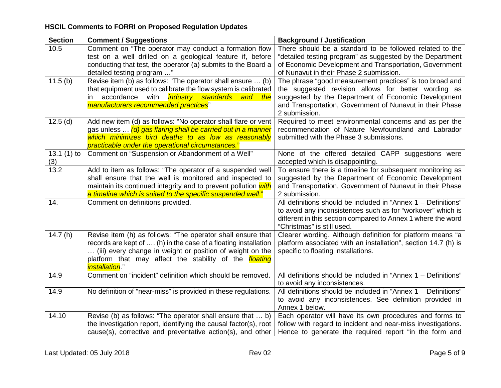| <b>Section</b> | <b>Comment / Suggestions</b>                                     | <b>Background / Justification</b>                              |
|----------------|------------------------------------------------------------------|----------------------------------------------------------------|
| 10.5           | Comment on "The operator may conduct a formation flow            | There should be a standard to be followed related to the       |
|                | test on a well drilled on a geological feature if, before        | "detailed testing program" as suggested by the Department      |
|                | conducting that test, the operator (a) submits to the Board a    | of Economic Development and Transportation, Government         |
|                | detailed testing program "                                       | of Nunavut in their Phase 2 submission.                        |
| 11.5(b)        | Revise item (b) as follows: "The operator shall ensure  (b)      | The phrase "good measurement practices" is too broad and       |
|                | that equipment used to calibrate the flow system is calibrated   | the suggested revision allows for better wording as            |
|                | accordance with <i>industry standards and the</i><br>in.         | suggested by the Department of Economic Development            |
|                | manufacturers recommended practices"                             | and Transportation, Government of Nunavut in their Phase       |
|                |                                                                  | 2 submission.                                                  |
| 12.5(d)        | Add new item (d) as follows: "No operator shall flare or vent    | Required to meet environmental concerns and as per the         |
|                | gas unless  (d) gas flaring shall be carried out in a manner     | recommendation of Nature Newfoundland and Labrador             |
|                | which minimizes bird deaths to as low as reasonably              | submitted with the Phase 3 submissions.                        |
|                | practicable under the operational circumstances."                |                                                                |
| 13.1 $(1)$ to  | Comment on "Suspension or Abandonment of a Well"                 | None of the offered detailed CAPP suggestions were             |
| (3)            |                                                                  | accepted which is disappointing.                               |
| 13.2           | Add to item as follows: "The operator of a suspended well        | To ensure there is a timeline for subsequent monitoring as     |
|                | shall ensure that the well is monitored and inspected to         | suggested by the Department of Economic Development            |
|                | maintain its continued integrity and to prevent pollution with   | and Transportation, Government of Nunavut in their Phase       |
|                | a timeline which is suited to the specific suspended well."      | 2 submission.                                                  |
| 14.            | Comment on definitions provided.                                 | All definitions should be included in "Annex 1 - Definitions"  |
|                |                                                                  | to avoid any inconsistences such as for "workover" which is    |
|                |                                                                  | different in this section compared to Annex 1 where the word   |
|                |                                                                  | "Christmas" is still used.                                     |
| 14.7(h)        | Revise item (h) as follows: "The operator shall ensure that      | Clearer wording. Although definition for platform means "a     |
|                | records are kept of  (h) in the case of a floating installation  | platform associated with an installation", section 14.7 (h) is |
|                | (iii) every change in weight or position of weight on the        | specific to floating installations.                            |
|                | platform that may affect the stability of the <i>floating</i>    |                                                                |
|                | <i>installation.</i> "                                           |                                                                |
| 14.9           | Comment on "incident" definition which should be removed.        | All definitions should be included in "Annex 1 - Definitions"  |
|                |                                                                  | to avoid any inconsistences.                                   |
| 14.9           | No definition of "near-miss" is provided in these regulations.   | All definitions should be included in "Annex 1 - Definitions"  |
|                |                                                                  | to avoid any inconsistences. See definition provided in        |
|                |                                                                  | Annex 1 below.                                                 |
| 14.10          | Revise (b) as follows: "The operator shall ensure that  b)       | Each operator will have its own procedures and forms to        |
|                | the investigation report, identifying the causal factor(s), root | follow with regard to incident and near-miss investigations.   |
|                | cause(s), corrective and preventative action(s), and other       | Hence to generate the required report "in the form and         |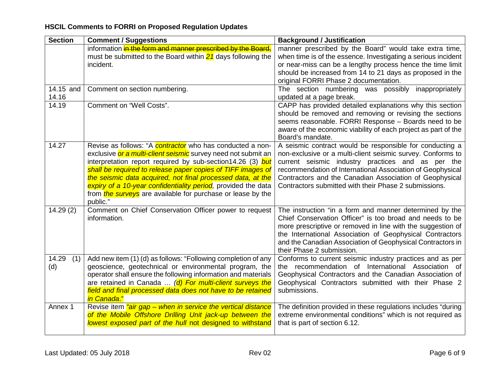| <b>Section</b>         | <b>Comment / Suggestions</b>                                                                                                        | <b>Background / Justification</b>                                                                                |
|------------------------|-------------------------------------------------------------------------------------------------------------------------------------|------------------------------------------------------------------------------------------------------------------|
|                        | information in the form and manner prescribed by the Board,                                                                         | manner prescribed by the Board" would take extra time,                                                           |
|                        | must be submitted to the Board within $21$ days following the                                                                       | when time is of the essence. Investigating a serious incident                                                    |
|                        | incident.                                                                                                                           | or near-miss can be a lengthy process hence the time limit                                                       |
|                        |                                                                                                                                     | should be increased from 14 to 21 days as proposed in the                                                        |
|                        |                                                                                                                                     | original FORRI Phase 2 documentation.                                                                            |
| $\overline{1}4.15$ and | Comment on section numbering.                                                                                                       | The section numbering was possibly inappropriately                                                               |
| 14.16                  |                                                                                                                                     | updated at a page break.                                                                                         |
| 14.19                  | Comment on "Well Costs".                                                                                                            | CAPP has provided detailed explanations why this section                                                         |
|                        |                                                                                                                                     | should be removed and removing or revising the sections                                                          |
|                        |                                                                                                                                     | seems reasonable. FORRI Response - Boards need to be                                                             |
|                        |                                                                                                                                     | aware of the economic viability of each project as part of the                                                   |
|                        |                                                                                                                                     | Board's mandate.                                                                                                 |
| 14.27                  | Revise as follows: "A <b>contractor</b> who has conducted a non-                                                                    | A seismic contract would be responsible for conducting a                                                         |
|                        | exclusive or a multi-client seismic survey need not submit an                                                                       | non-exclusive or a multi-client seismic survey. Conforms to                                                      |
|                        | interpretation report required by sub-section14.26 (3) but                                                                          | current seismic industry practices and as per the                                                                |
|                        | shall be required to release paper copies of TIFF images of                                                                         | recommendation of International Association of Geophysical                                                       |
|                        | the seismic data acquired, not final processed data, at the                                                                         | Contractors and the Canadian Association of Geophysical<br>Contractors submitted with their Phase 2 submissions. |
|                        | expiry of a 10-year confidentiality period, provided the data<br>from <i>the surveys</i> are available for purchase or lease by the |                                                                                                                  |
|                        | public."                                                                                                                            |                                                                                                                  |
| 14.29(2)               | Comment on Chief Conservation Officer power to request                                                                              | The instruction "in a form and manner determined by the                                                          |
|                        | information.                                                                                                                        | Chief Conservation Officer" is too broad and needs to be                                                         |
|                        |                                                                                                                                     | more prescriptive or removed in line with the suggestion of                                                      |
|                        |                                                                                                                                     | the International Association of Geophysical Contractors                                                         |
|                        |                                                                                                                                     | and the Canadian Association of Geophysical Contractors in                                                       |
|                        |                                                                                                                                     | their Phase 2 submission.                                                                                        |
| 14.29<br>(1)           | Add new item (1) (d) as follows: "Following completion of any                                                                       | Conforms to current seismic industry practices and as per                                                        |
| (d)                    | geoscience, geotechnical or environmental program, the                                                                              | the recommendation of International Association of                                                               |
|                        | operator shall ensure the following information and materials                                                                       | Geophysical Contractors and the Canadian Association of                                                          |
|                        | are retained in Canada  (d) For multi-client surveys the                                                                            | Geophysical Contractors submitted with their Phase 2                                                             |
|                        | field and final processed data does not have to be retained                                                                         | submissions.                                                                                                     |
|                        | <i>in Canada.</i> "                                                                                                                 |                                                                                                                  |
| Annex 1                | Revise item "air gap - when in service the vertical distance                                                                        | The definition provided in these regulations includes "during                                                    |
|                        | of the Mobile Offshore Drilling Unit jack-up between the                                                                            | extreme environmental conditions" which is not required as                                                       |
|                        | lowest exposed part of the hull not designed to withstand                                                                           | that is part of section 6.12.                                                                                    |
|                        |                                                                                                                                     |                                                                                                                  |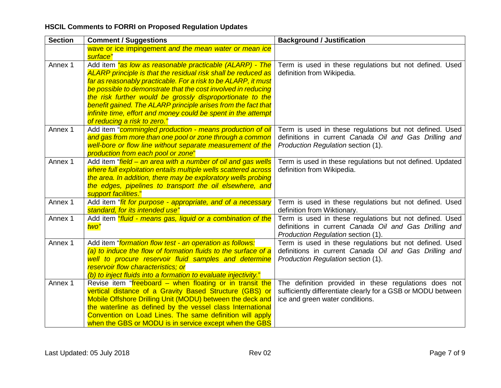| <b>Section</b> | <b>Comment / Suggestions</b>                                                                                                                                                                                                                                                                                                                                         | <b>Background / Justification</b>                                                                                                                        |
|----------------|----------------------------------------------------------------------------------------------------------------------------------------------------------------------------------------------------------------------------------------------------------------------------------------------------------------------------------------------------------------------|----------------------------------------------------------------------------------------------------------------------------------------------------------|
|                | wave or ice impingement and the mean water or mean ice                                                                                                                                                                                                                                                                                                               |                                                                                                                                                          |
|                | surface"                                                                                                                                                                                                                                                                                                                                                             |                                                                                                                                                          |
| Annex 1        | Add item "as low as reasonable practicable (ALARP) - The<br>ALARP principle is that the residual risk shall be reduced as<br>far as reasonably practicable. For a risk to be ALARP, it must                                                                                                                                                                          | Term is used in these regulations but not defined. Used<br>definition from Wikipedia.                                                                    |
|                | be possible to demonstrate that the cost involved in reducing<br>the risk further would be grossly disproportionate to the<br>benefit gained. The ALARP principle arises from the fact that<br>infinite time, effort and money could be spent in the attempt                                                                                                         |                                                                                                                                                          |
|                | of reducing a risk to zero."                                                                                                                                                                                                                                                                                                                                         |                                                                                                                                                          |
| Annex 1        | Add item "commingled production - means production of oil<br>and gas from more than one pool or zone through a common<br>well-bore or flow line without separate measurement of the<br>production from each pool or zone"                                                                                                                                            | Term is used in these regulations but not defined. Used<br>definitions in current Canada Oil and Gas Drilling and<br>Production Regulation section (1).  |
| Annex 1        | Add item "field – an area with a number of oil and gas wells<br>where full exploitation entails multiple wells scattered across<br>the area. In addition, there may be exploratory wells probing<br>the edges, pipelines to transport the oil elsewhere, and<br>support facilities."                                                                                 | Term is used in these regulations but not defined. Updated<br>definition from Wikipedia.                                                                 |
| Annex 1        | Add item " <i>fit for purpose - appropriate, and of a necessary</i><br>standard, for its intended use"                                                                                                                                                                                                                                                               | Term is used in these regulations but not defined. Used<br>definition from Wiktionary.                                                                   |
| Annex 1        | Add item "fluid - means gas, liquid or a combination of the<br>two"                                                                                                                                                                                                                                                                                                  | Term is used in these regulations but not defined. Used<br>definitions in current Canada Oil and Gas Drilling and<br>Production Regulation section (1).  |
| Annex 1        | Add item "formation flow test - an operation as follows:<br>(a) to induce the flow of formation fluids to the surface of a<br>well to procure reservoir fluid samples and determine<br>reservoir flow characteristics; or<br>(b) to inject fluids into a formation to evaluate injectivity."                                                                         | Term is used in these regulations but not defined. Used<br>definitions in current Canada Oil and Gas Drilling and<br>Production Regulation section (1).  |
| Annex 1        | Revise item "freeboard – when floating or in transit the<br>vertical distance of a Gravity Based Structure (GBS) or<br>Mobile Offshore Drilling Unit (MODU) between the deck and<br>the waterline as defined by the vessel class International<br>Convention on Load Lines. The same definition will apply<br>when the GBS or MODU is in service except when the GBS | The definition provided in these regulations does not<br>sufficiently differentiate clearly for a GSB or MODU between<br>ice and green water conditions. |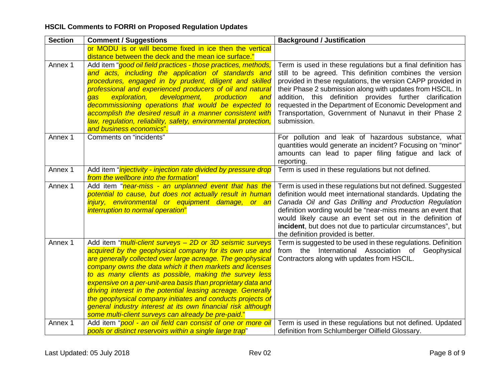| <b>Section</b> | <b>Comment / Suggestions</b>                                                                                                                                                                                                                                                                                                                                                                                                                                                                                                                                                                                                           | <b>Background / Justification</b>                                                                                                                                                                                                                                                                                                                                                                                                                     |
|----------------|----------------------------------------------------------------------------------------------------------------------------------------------------------------------------------------------------------------------------------------------------------------------------------------------------------------------------------------------------------------------------------------------------------------------------------------------------------------------------------------------------------------------------------------------------------------------------------------------------------------------------------------|-------------------------------------------------------------------------------------------------------------------------------------------------------------------------------------------------------------------------------------------------------------------------------------------------------------------------------------------------------------------------------------------------------------------------------------------------------|
|                | or MODU is or will become fixed in ice then the vertical<br>distance between the deck and the mean ice surface."                                                                                                                                                                                                                                                                                                                                                                                                                                                                                                                       |                                                                                                                                                                                                                                                                                                                                                                                                                                                       |
| Annex 1        | Add item "good oil field practices - those practices, methods,<br>and acts, including the application of standards and<br>procedures, engaged in by prudent, diligent and skilled<br>professional and experienced producers of oil and natural<br>development,<br>exploration,<br>production<br>gas<br>and<br>decommissioning operations that would be expected to<br>accomplish the desired result in a manner consistent with<br>law, regulation, reliability, safety, environmental protection,<br>and business economics".                                                                                                         | Term is used in these regulations but a final definition has<br>still to be agreed. This definition combines the version<br>provided in these regulations, the version CAPP provided in<br>their Phase 2 submission along with updates from HSCIL. In<br>addition, this definition provides further clarification<br>requested in the Department of Economic Development and<br>Transportation, Government of Nunavut in their Phase 2<br>submission. |
| Annex 1        | Comments on "incidents"                                                                                                                                                                                                                                                                                                                                                                                                                                                                                                                                                                                                                | For pollution and leak of hazardous substance, what<br>quantities would generate an incident? Focusing on "minor"<br>amounts can lead to paper filing fatigue and lack of<br>reporting.                                                                                                                                                                                                                                                               |
| Annex 1        | Add item " <i>injectivity - injection rate divided by pressure drop</i><br>from the wellbore into the formation"                                                                                                                                                                                                                                                                                                                                                                                                                                                                                                                       | Term is used in these regulations but not defined.                                                                                                                                                                                                                                                                                                                                                                                                    |
| Annex 1        | Add item "near-miss - an unplanned event that has the<br>potential to cause, but does not actually result in human<br>injury, environmental or equipment damage, or an<br>interruption to normal operation"                                                                                                                                                                                                                                                                                                                                                                                                                            | Term is used in these regulations but not defined. Suggested<br>definition would meet international standards. Updating the<br>Canada Oil and Gas Drilling and Production Regulation<br>definition wording would be "near-miss means an event that<br>would likely cause an event set out in the definition of<br>incident, but does not due to particular circumstances", but<br>the definition provided is better.                                  |
| Annex 1        | Add item " <i>multi-client surveys - 2D or 3D seismic surveys</i><br>acquired by the geophysical company for its own use and<br>are generally collected over large acreage. The geophysical<br>company owns the data which it then markets and licenses<br>to as many clients as possible, making the survey less<br>expensive on a per-unit-area basis than proprietary data and<br>driving interest in the potential leasing acreage. Generally<br>the geophysical company initiates and conducts projects of<br>general industry interest at its own financial risk although<br>some multi-client surveys can already be pre-paid." | Term is suggested to be used in these regulations. Definition<br>from the International Association of Geophysical<br>Contractors along with updates from HSCIL.                                                                                                                                                                                                                                                                                      |
| Annex 1        | Add item "pool - an oil field can consist of one or more oil<br>pools or distinct reservoirs within a single large trap"                                                                                                                                                                                                                                                                                                                                                                                                                                                                                                               | Term is used in these regulations but not defined. Updated<br>definition from Schlumberger Oilfield Glossary.                                                                                                                                                                                                                                                                                                                                         |